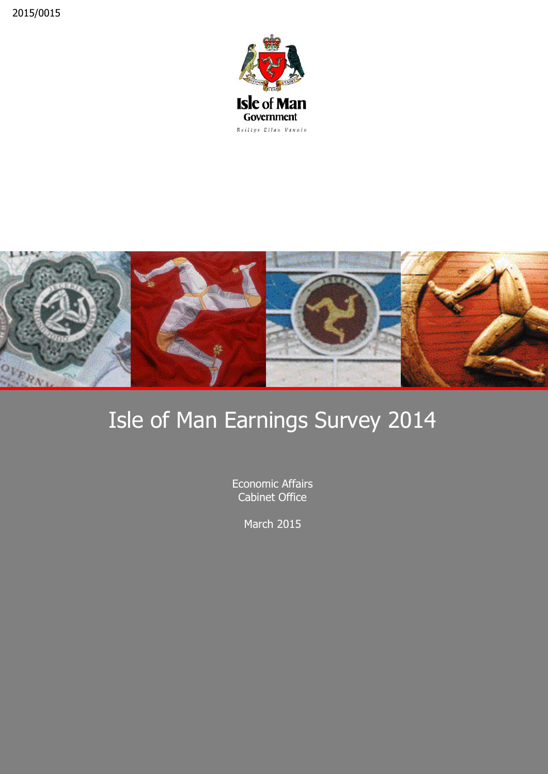



# Isle of Man Earnings Survey 2014

Economic Affairs Cabinet Office

March 2015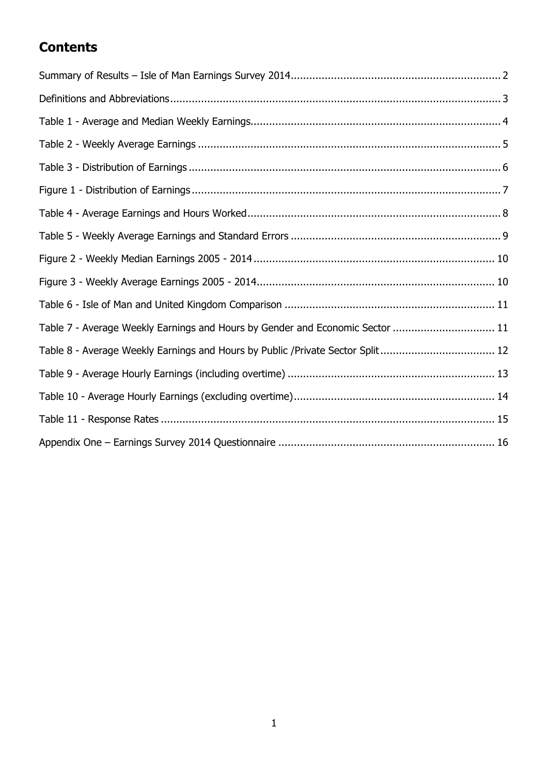### **Contents**

| Table 7 - Average Weekly Earnings and Hours by Gender and Economic Sector  11   |
|---------------------------------------------------------------------------------|
| Table 8 - Average Weekly Earnings and Hours by Public / Private Sector Split 12 |
|                                                                                 |
|                                                                                 |
|                                                                                 |
|                                                                                 |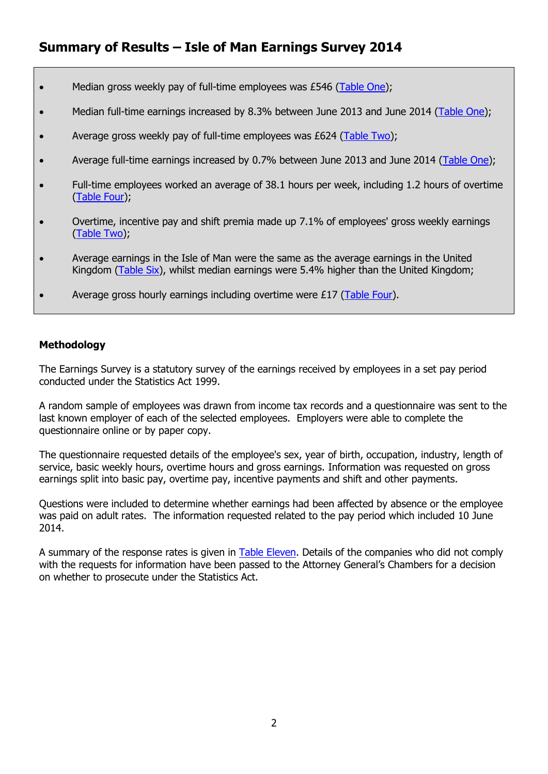- <span id="page-2-0"></span>• Median gross weekly pay of full-time employees was £546 [\(Table One\)](#page-4-0);
- Median full-time earnings increased by 8.3% between June 2013 and June 2014 [\(Table One\)](#page-4-0);
- Average gross weekly pay of full-time employees was  $E624$  [\(Table Two\)](#page-5-0);
- Average full-time earnings increased by 0.7% between June 2013 and June 2014 [\(Table One\)](#page-4-0);
- Full-time employees worked an average of 38.1 hours per week, including 1.2 hours of overtime [\(Table Four\)](#page-8-0);
- Overtime, incentive pay and shift premia made up 7.1% of employees' gross weekly earnings [\(Table Two\)](#page-5-0);
- Average earnings in the Isle of Man were the same as the average earnings in the United Kingdom [\(Table Six\)](#page-11-0), whilst median earnings were 5.4% higher than the United Kingdom;
- Average gross hourly earnings including overtime were £17 [\(Table Four\)](#page-8-0).

#### **Methodology**

The Earnings Survey is a statutory survey of the earnings received by employees in a set pay period conducted under the Statistics Act 1999.

A random sample of employees was drawn from income tax records and a questionnaire was sent to the last known employer of each of the selected employees. Employers were able to complete the questionnaire online or by paper copy.

The questionnaire requested details of the employee's sex, year of birth, occupation, industry, length of service, basic weekly hours, overtime hours and gross earnings. Information was requested on gross earnings split into basic pay, overtime pay, incentive payments and shift and other payments.

Questions were included to determine whether earnings had been affected by absence or the employee was paid on adult rates. The information requested related to the pay period which included 10 June 2014.

A summary of the response rates is given in [Table Eleven.](#page-15-0) Details of the companies who did not comply with the requests for information have been passed to the Attorney General's Chambers for a decision on whether to prosecute under the Statistics Act.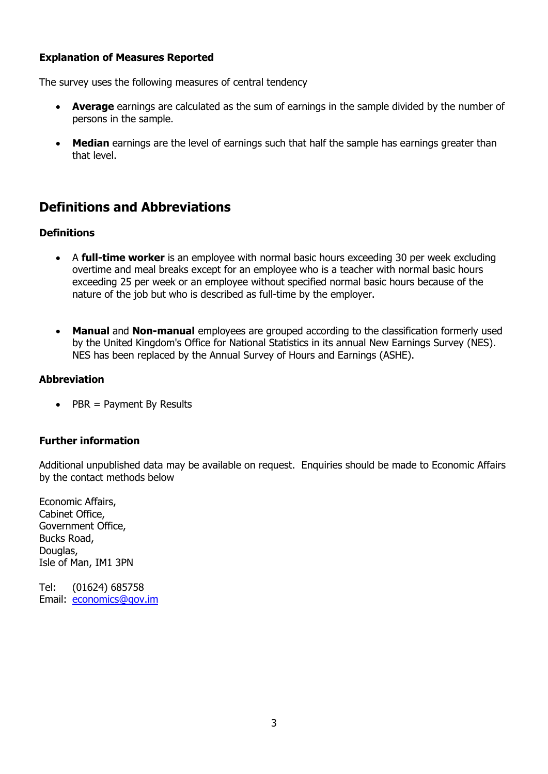### **Explanation of Measures Reported**

The survey uses the following measures of central tendency

- **Average** earnings are calculated as the sum of earnings in the sample divided by the number of persons in the sample.
- **Median** earnings are the level of earnings such that half the sample has earnings greater than that level.

### <span id="page-3-0"></span>**Definitions and Abbreviations**

#### **Definitions**

- A **full-time worker** is an employee with normal basic hours exceeding 30 per week excluding overtime and meal breaks except for an employee who is a teacher with normal basic hours exceeding 25 per week or an employee without specified normal basic hours because of the nature of the job but who is described as full-time by the employer.
- **Manual** and **Non-manual** employees are grouped according to the classification formerly used by the United Kingdom's Office for National Statistics in its annual New Earnings Survey (NES). NES has been replaced by the Annual Survey of Hours and Earnings (ASHE).

#### **Abbreviation**

 $\bullet$  PBR = Payment By Results

#### **Further information**

Additional unpublished data may be available on request. Enquiries should be made to Economic Affairs by the contact methods below

Economic Affairs, Cabinet Office, Government Office, Bucks Road, Douglas, Isle of Man, IM1 3PN

Tel: (01624) 685758 Email: [economics@gov.im](mailto:economics@gov.im)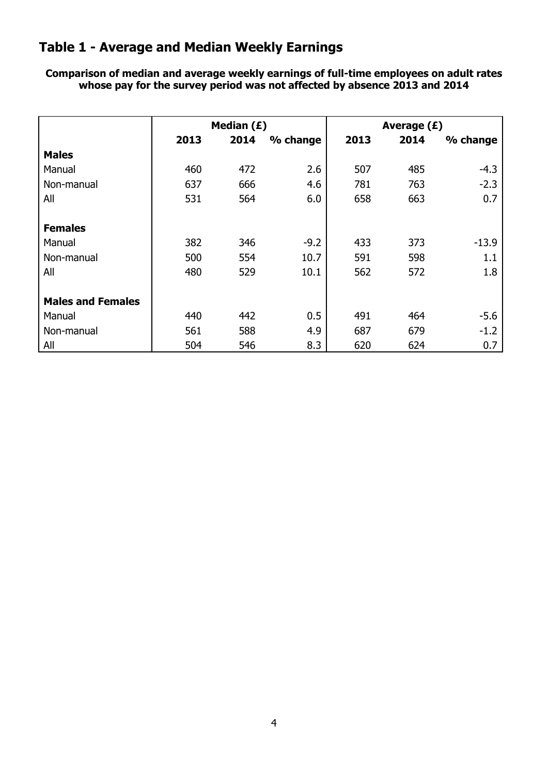### <span id="page-4-0"></span>**Table 1 - Average and Median Weekly Earnings**

**Comparison of median and average weekly earnings of full-time employees on adult rates whose pay for the survey period was not affected by absence 2013 and 2014**

|                          |      | Median $(E)$ |          | Average $(E)$ |      |          |  |  |  |
|--------------------------|------|--------------|----------|---------------|------|----------|--|--|--|
|                          | 2013 | 2014         | % change | 2013          | 2014 | % change |  |  |  |
| <b>Males</b>             |      |              |          |               |      |          |  |  |  |
| Manual                   | 460  | 472          | 2.6      | 507           | 485  | $-4.3$   |  |  |  |
| Non-manual               | 637  | 666          | 4.6      | 781           | 763  | $-2.3$   |  |  |  |
| All                      | 531  | 564          | 6.0      | 658           | 663  | 0.7      |  |  |  |
| <b>Females</b>           |      |              |          |               |      |          |  |  |  |
| Manual                   | 382  | 346          | $-9.2$   | 433           | 373  | $-13.9$  |  |  |  |
| Non-manual               | 500  | 554          | 10.7     | 591           | 598  | 1.1      |  |  |  |
| All                      | 480  | 529          | 10.1     | 562           | 572  | 1.8      |  |  |  |
| <b>Males and Females</b> |      |              |          |               |      |          |  |  |  |
| Manual                   | 440  | 442          | 0.5      | 491           | 464  | $-5.6$   |  |  |  |
| Non-manual               | 561  | 588          | 4.9      | 687           | 679  | $-1.2$   |  |  |  |
| All                      | 504  | 546          | 8.3      | 620           | 624  | 0.7      |  |  |  |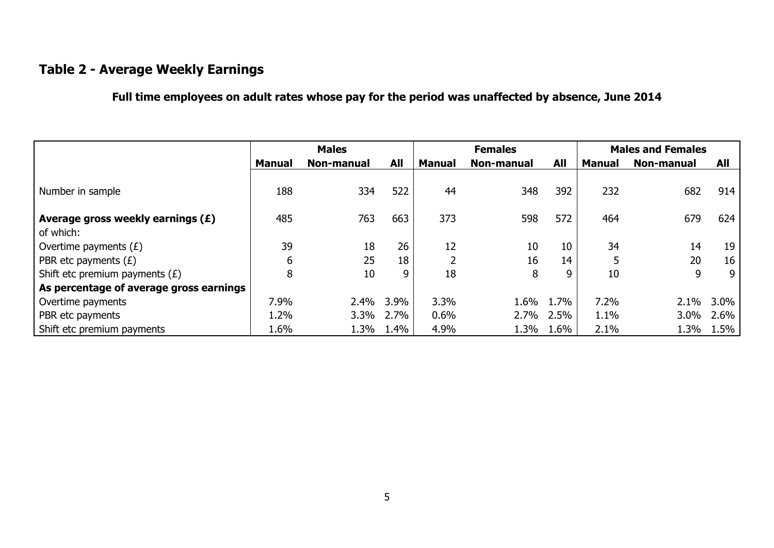### **Table 2 - Average Weekly Earnings**

**Full time employees on adult rates whose pay for the period was unaffected by absence, June 2014**

<span id="page-5-0"></span>

|                                         |        | <b>Males</b> |            |               | <b>Females</b> |            |               | <b>Males and Females</b> |      |
|-----------------------------------------|--------|--------------|------------|---------------|----------------|------------|---------------|--------------------------|------|
|                                         | Manual | Non-manual   | <b>All</b> | <b>Manual</b> | Non-manual     | <b>All</b> | <b>Manual</b> | Non-manual               | All  |
| Number in sample                        | 188    | 334          | 522        | 44            | 348            | 392        | 232           | 682                      | 914  |
| Average gross weekly earnings $(E)$     | 485    | 763          | 663        | 373           | 598            | 572        | 464           | 679                      | 624  |
| of which:                               |        |              |            |               |                |            |               |                          |      |
| Overtime payments $(E)$                 | 39     | 18           | 26         | 12            | 10             | 10         | 34            | 14                       | 19   |
| PBR etc payments $(E)$                  | 6      | 25           | 18         |               | 16             | 14         | 5             | 20                       | 16   |
| Shift etc premium payments $(E)$        | 8      | 10           | 9          | 18            | 8              | 9          | 10            | 9                        | 9    |
| As percentage of average gross earnings |        |              |            |               |                |            |               |                          |      |
| Overtime payments                       | 7.9%   | 2.4%         | 3.9%       | 3.3%          | 1.6%           | 1.7%       | 7.2%          | 2.1%                     | 3.0% |
| PBR etc payments                        | 1.2%   | $3.3\%$      | 2.7%       | 0.6%          | 2.7%           | 2.5%       | 1.1%          | 3.0%                     | 2.6% |
| Shift etc premium payments              | 1.6%   | 1.3%         | 1.4%       | 4.9%          | 1.3%           | 1.6%       | 2.1%          | 1.3%                     | 1.5% |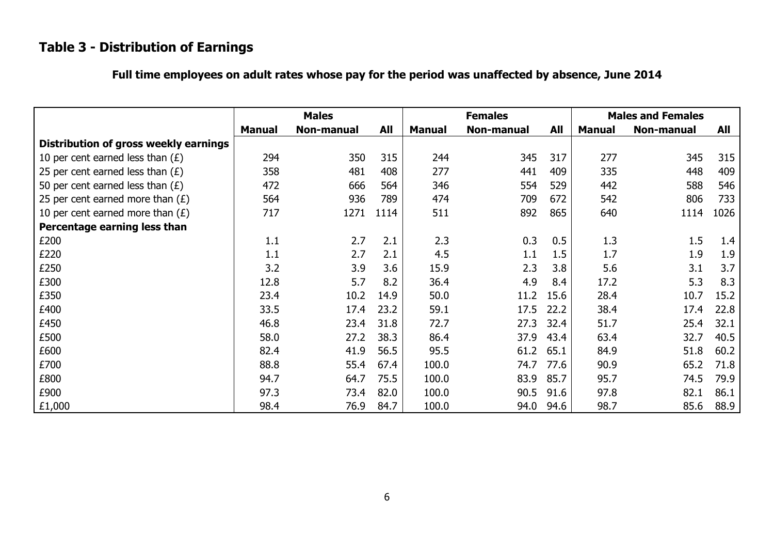# **Table 3 - Distribution of Earnings**

<span id="page-6-0"></span>

|                                       |               | <b>Males</b> |            |               | <b>Females</b> | <b>Males and Females</b> |               |            |      |
|---------------------------------------|---------------|--------------|------------|---------------|----------------|--------------------------|---------------|------------|------|
|                                       | <b>Manual</b> | Non-manual   | <b>All</b> | <b>Manual</b> | Non-manual     | All                      | <b>Manual</b> | Non-manual | All  |
| Distribution of gross weekly earnings |               |              |            |               |                |                          |               |            |      |
| 10 per cent earned less than $(E)$    | 294           | 350          | 315        | 244           | 345            | 317                      | 277           | 345        | 315  |
| 25 per cent earned less than $(E)$    | 358           | 481          | 408        | 277           | 441            | 409                      | 335           | 448        | 409  |
| 50 per cent earned less than $(E)$    | 472           | 666          | 564        | 346           | 554            | 529                      | 442           | 588        | 546  |
| 25 per cent earned more than $(E)$    | 564           | 936          | 789        | 474           | 709            | 672                      | 542           | 806        | 733  |
| 10 per cent earned more than $(E)$    | 717           | 1271         | 1114       | 511           | 892            | 865                      | 640           | 1114       | 1026 |
| Percentage earning less than          |               |              |            |               |                |                          |               |            |      |
| £200                                  | 1.1           | 2.7          | 2.1        | 2.3           | 0.3            | 0.5                      | 1.3           | 1.5        | 1.4  |
| £220                                  | 1.1           | 2.7          | 2.1        | 4.5           | 1.1            | 1.5                      | 1.7           | 1.9        | 1.9  |
| £250                                  | 3.2           | 3.9          | 3.6        | 15.9          | 2.3            | 3.8                      | 5.6           | 3.1        | 3.7  |
| £300                                  | 12.8          | 5.7          | 8.2        | 36.4          | 4.9            | 8.4                      | 17.2          | 5.3        | 8.3  |
| £350                                  | 23.4          | 10.2         | 14.9       | 50.0          | 11.2           | 15.6                     | 28.4          | 10.7       | 15.2 |
| £400                                  | 33.5          | 17.4         | 23.2       | 59.1          | 17.5           | 22.2                     | 38.4          | 17.4       | 22.8 |
| £450                                  | 46.8          | 23.4         | 31.8       | 72.7          | 27.3           | 32.4                     | 51.7          | 25.4       | 32.1 |
| £500                                  | 58.0          | 27.2         | 38.3       | 86.4          | 37.9           | 43.4                     | 63.4          | 32.7       | 40.5 |
| £600                                  | 82.4          | 41.9         | 56.5       | 95.5          | 61.2           | 65.1                     | 84.9          | 51.8       | 60.2 |
| £700                                  | 88.8          | 55.4         | 67.4       | 100.0         | 74.7           | 77.6                     | 90.9          | 65.2       | 71.8 |
| £800                                  | 94.7          | 64.7         | 75.5       | 100.0         | 83.9           | 85.7                     | 95.7          | 74.5       | 79.9 |
| £900                                  | 97.3          | 73.4         | 82.0       | 100.0         | 90.5           | 91.6                     | 97.8          | 82.1       | 86.1 |
| £1,000                                | 98.4          | 76.9         | 84.7       | 100.0         | 94.0           | 94.6                     | 98.7          | 85.6       | 88.9 |

### **Full time employees on adult rates whose pay for the period was unaffected by absence, June 2014**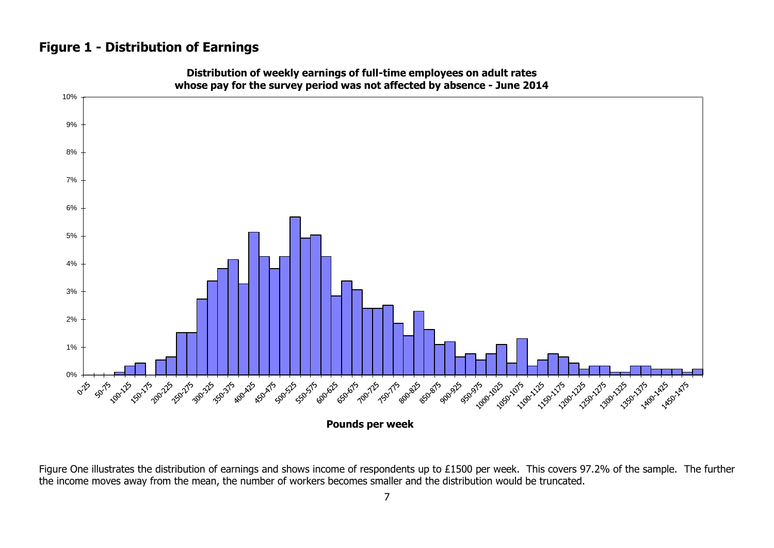### **Figure 1 - Distribution of Earnings**

<span id="page-7-0"></span>

**Distribution of weekly earnings of full-time employees on adult rates whose pay for the survey period was not affected by absence - June 2014**

Figure One illustrates the distribution of earnings and shows income of respondents up to £1500 per week. This covers 97.2% of the sample. The further the income moves away from the mean, the number of workers becomes smaller and the distribution would be truncated.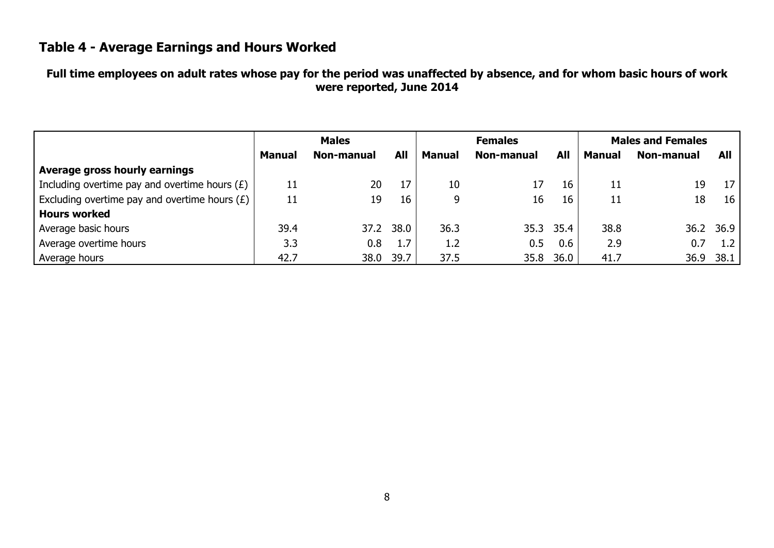### **Table 4 - Average Earnings and Hours Worked**

### **Full time employees on adult rates whose pay for the period was unaffected by absence, and for whom basic hours of work were reported, June 2014**

<span id="page-8-0"></span>

|                                                 |        | <b>Males</b> |      |               | <b>Females</b> | <b>Males and Females</b> |               |                   |           |
|-------------------------------------------------|--------|--------------|------|---------------|----------------|--------------------------|---------------|-------------------|-----------|
|                                                 | Manual | Non-manual   | All  | <b>Manual</b> | Non-manual     | All                      | <b>Manual</b> | <b>Non-manual</b> | All       |
| Average gross hourly earnings                   |        |              |      |               |                |                          |               |                   |           |
| Including overtime pay and overtime hours $(E)$ | 11     | 20           | 17   | 10            | 17             | 16                       | 11            | 19                | 17        |
| Excluding overtime pay and overtime hours $(E)$ | 11     | 19           | 16   | 9             | 16             | 16                       | 11            | 18                | 16        |
| <b>Hours worked</b>                             |        |              |      |               |                |                          |               |                   |           |
| Average basic hours                             | 39.4   | 37.2         | 38.0 | 36.3          |                | 35.3 35.4                | 38.8          |                   | 36.2 36.9 |
| Average overtime hours                          | 3.3    | 0.8          | 1.7  | 1.2           | 0.5            | 0.6                      | 2.9           | 0.7               | 1.2       |
| Average hours                                   | 42.7   | 38.0         | 39.7 | 37.5          | 35.8           | 36.0                     | 41.7          | 36.9              | 38.1      |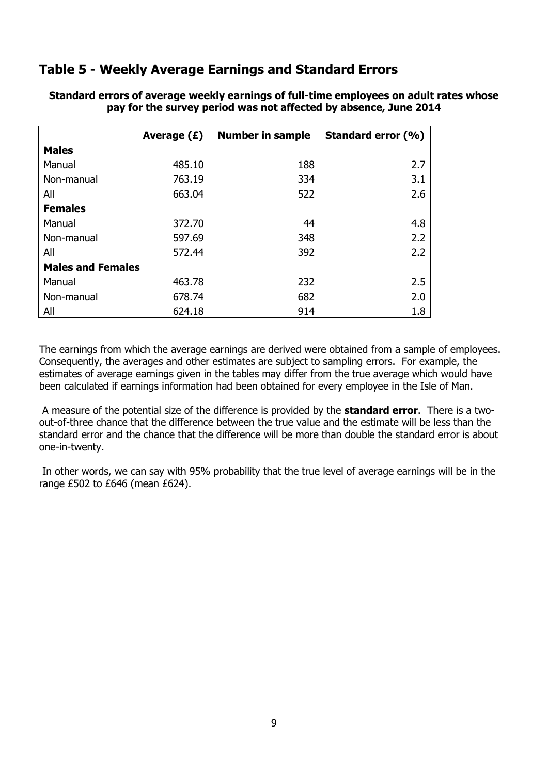### <span id="page-9-0"></span>**Table 5 - Weekly Average Earnings and Standard Errors**

|                          | Average $(E)$ | <b>Number in sample</b> | Standard error (%) |
|--------------------------|---------------|-------------------------|--------------------|
| <b>Males</b>             |               |                         |                    |
| Manual                   | 485.10        | 188                     | 2.7                |
| Non-manual               | 763.19        | 334                     | 3.1                |
| All                      | 663.04        | 522                     | 2.6                |
| <b>Females</b>           |               |                         |                    |
| Manual                   | 372.70        | 44                      | 4.8                |
| Non-manual               | 597.69        | 348                     | 2.2                |
| All                      | 572.44        | 392                     | 2.2                |
| <b>Males and Females</b> |               |                         |                    |
| Manual                   | 463.78        | 232                     | 2.5                |
| Non-manual               | 678.74        | 682                     | 2.0                |
| All                      | 624.18        | 914                     | 1.8                |

**Standard errors of average weekly earnings of full-time employees on adult rates whose pay for the survey period was not affected by absence, June 2014**

The earnings from which the average earnings are derived were obtained from a sample of employees. Consequently, the averages and other estimates are subject to sampling errors. For example, the estimates of average earnings given in the tables may differ from the true average which would have been calculated if earnings information had been obtained for every employee in the Isle of Man.

A measure of the potential size of the difference is provided by the **standard error**. There is a twoout-of-three chance that the difference between the true value and the estimate will be less than the standard error and the chance that the difference will be more than double the standard error is about one-in-twenty.

In other words, we can say with 95% probability that the true level of average earnings will be in the range £502 to £646 (mean £624).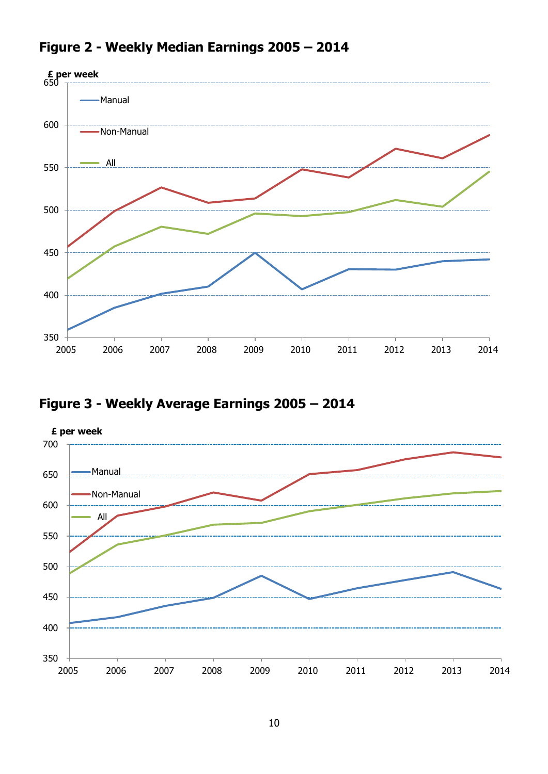

### <span id="page-10-0"></span>**Figure 2 - Weekly Median Earnings 2005 – 2014**

# <span id="page-10-1"></span>**Figure 3 - Weekly Average Earnings 2005 – 2014**

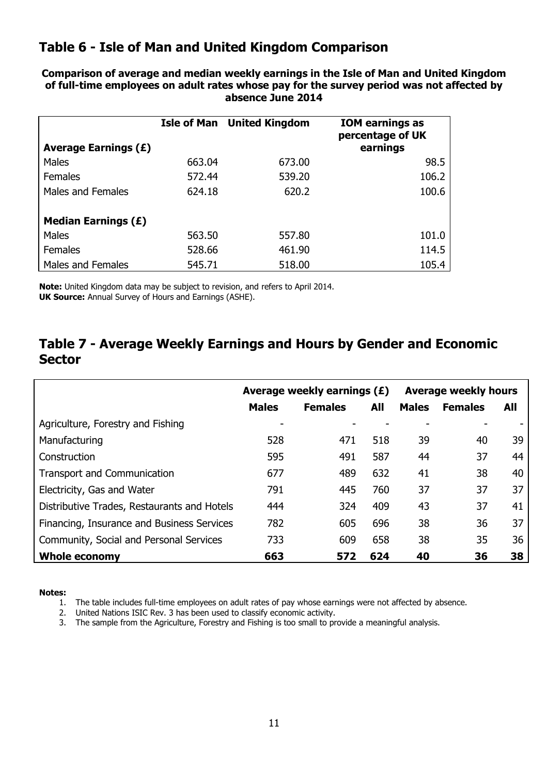### <span id="page-11-0"></span>**Table 6 - Isle of Man and United Kingdom Comparison**

**Comparison of average and median weekly earnings in the Isle of Man and United Kingdom of full-time employees on adult rates whose pay for the survey period was not affected by absence June 2014**

| <b>Average Earnings (£)</b> |        | <b>Isle of Man</b> United Kingdom | <b>IOM earnings as</b><br>percentage of UK<br>earnings |
|-----------------------------|--------|-----------------------------------|--------------------------------------------------------|
| Males                       | 663.04 | 673.00                            | 98.5                                                   |
| <b>Females</b>              | 572.44 | 539.20                            | 106.2                                                  |
| Males and Females           | 624.18 | 620.2                             | 100.6                                                  |
| Median Earnings $(E)$       |        |                                   |                                                        |
| Males                       | 563.50 | 557.80                            | 101.0                                                  |
| <b>Females</b>              | 528.66 | 461.90                            | 114.5                                                  |
| Males and Females           | 545.71 | 518.00                            | 105.4                                                  |

**Note:** United Kingdom data may be subject to revision, and refers to April 2014. **UK Source:** Annual Survey of Hours and Earnings (ASHE).

### <span id="page-11-1"></span>**Table 7 - Average Weekly Earnings and Hours by Gender and Economic Sector**

|                                             |              | Average weekly earnings $(E)$ | <b>Average weekly hours</b> |              |                |     |
|---------------------------------------------|--------------|-------------------------------|-----------------------------|--------------|----------------|-----|
|                                             | <b>Males</b> | <b>Females</b>                | All                         | <b>Males</b> | <b>Females</b> | All |
| Agriculture, Forestry and Fishing           |              |                               |                             |              |                |     |
| Manufacturing                               | 528          | 471                           | 518                         | 39           | 40             | 39  |
| Construction                                | 595          | 491                           | 587                         | 44           | 37             | 44  |
| <b>Transport and Communication</b>          | 677          | 489                           | 632                         | 41           | 38             | 40  |
| Electricity, Gas and Water                  | 791          | 445                           | 760                         | 37           | 37             | 37  |
| Distributive Trades, Restaurants and Hotels | 444          | 324                           | 409                         | 43           | 37             | 41  |
| Financing, Insurance and Business Services  | 782          | 605                           | 696                         | 38           | 36             | 37  |
| Community, Social and Personal Services     | 733          | 609                           | 658                         | 38           | 35             | 36  |
| <b>Whole economy</b>                        | 663          | 572                           | 624                         | 40           | 36             | 38  |

**Notes:**

1. The table includes full-time employees on adult rates of pay whose earnings were not affected by absence.

2. United Nations ISIC Rev. 3 has been used to classify economic activity.

3. The sample from the Agriculture, Forestry and Fishing is too small to provide a meaningful analysis.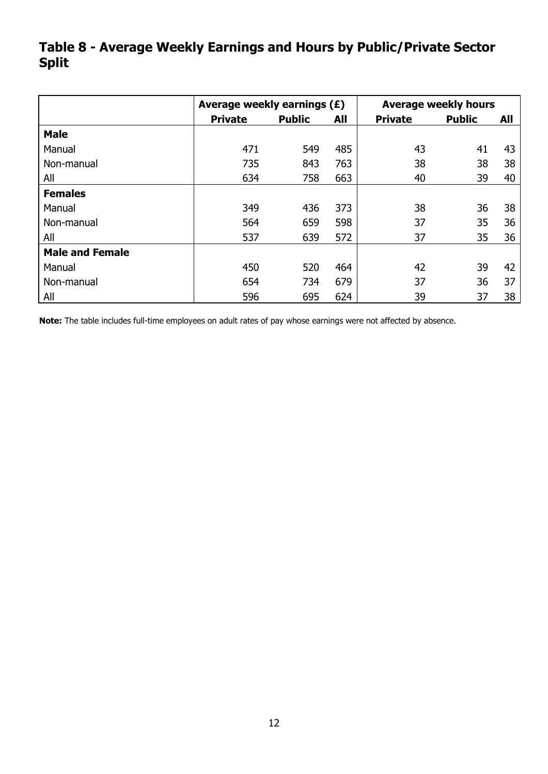### <span id="page-12-0"></span>**Table 8 - Average Weekly Earnings and Hours by Public/Private Sector Split**

|                        | Average weekly earnings (£) |               | <b>Average weekly hours</b> |                |               |     |  |  |
|------------------------|-----------------------------|---------------|-----------------------------|----------------|---------------|-----|--|--|
|                        | <b>Private</b>              | <b>Public</b> | All                         | <b>Private</b> | <b>Public</b> | All |  |  |
| <b>Male</b>            |                             |               |                             |                |               |     |  |  |
| Manual                 | 471                         | 549           | 485                         | 43             | 41            | 43  |  |  |
| Non-manual             | 735                         | 843           | 763                         | 38             | 38            | 38  |  |  |
| All                    | 634                         | 758           | 663                         | 40             | 39            | 40  |  |  |
| <b>Females</b>         |                             |               |                             |                |               |     |  |  |
| Manual                 | 349                         | 436           | 373                         | 38             | 36            | 38  |  |  |
| Non-manual             | 564                         | 659           | 598                         | 37             | 35            | 36  |  |  |
| All                    | 537                         | 639           | 572                         | 37             | 35            | 36  |  |  |
| <b>Male and Female</b> |                             |               |                             |                |               |     |  |  |
| Manual                 | 450                         | 520           | 464                         | 42             | 39            | 42  |  |  |
| Non-manual             | 654                         | 734           | 679                         | 37             | 36            | 37  |  |  |
| All                    | 596                         | 695           | 624                         | 39             | 37            | 38  |  |  |

**Note:** The table includes full-time employees on adult rates of pay whose earnings were not affected by absence.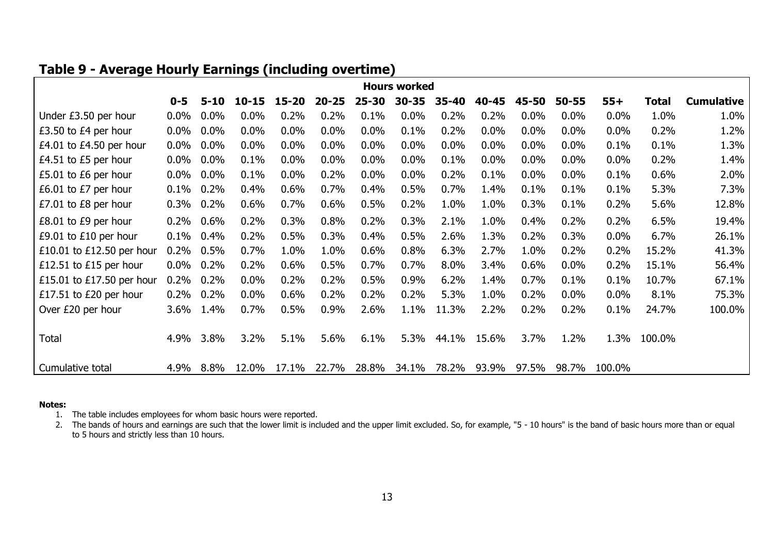### **Table 9 - Average Hourly Earnings (including overtime)**

|                           |         |          |           |       |           |           | <b>Hours worked</b> |           |         |       |           |        |              |                   |
|---------------------------|---------|----------|-----------|-------|-----------|-----------|---------------------|-----------|---------|-------|-----------|--------|--------------|-------------------|
|                           | $0 - 5$ | $5 - 10$ | $10 - 15$ | 15-20 | $20 - 25$ | $25 - 30$ | $30 - 35$           | $35 - 40$ | 40-45   | 45-50 | $50 - 55$ | $55+$  | <b>Total</b> | <b>Cumulative</b> |
| Under £3.50 per hour      | $0.0\%$ | $0.0\%$  | 0.0%      | 0.2%  | 0.2%      | 0.1%      | 0.0%                | 0.2%      | 0.2%    | 0.0%  | 0.0%      | 0.0%   | 1.0%         | 1.0%              |
| £3.50 to £4 per hour      | $0.0\%$ | $0.0\%$  | 0.0%      | 0.0%  | 0.0%      | 0.0%      | 0.1%                | 0.2%      | 0.0%    | 0.0%  | 0.0%      | 0.0%   | 0.2%         | 1.2%              |
| £4.01 to £4.50 per hour   | $0.0\%$ | $0.0\%$  | $0.0\%$   | 0.0%  | 0.0%      | 0.0%      | 0.0%                | $0.0\%$   | $0.0\%$ | 0.0%  | 0.0%      | 0.1%   | 0.1%         | 1.3%              |
| £4.51 to £5 per hour      | $0.0\%$ | $0.0\%$  | 0.1%      | 0.0%  | 0.0%      | 0.0%      | 0.0%                | 0.1%      | 0.0%    | 0.0%  | 0.0%      | 0.0%   | 0.2%         | 1.4%              |
| £5.01 to £6 per hour      | $0.0\%$ | $0.0\%$  | 0.1%      | 0.0%  | 0.2%      | 0.0%      | 0.0%                | 0.2%      | 0.1%    | 0.0%  | 0.0%      | 0.1%   | 0.6%         | 2.0%              |
| £6.01 to £7 per hour      | 0.1%    | 0.2%     | 0.4%      | 0.6%  | 0.7%      | 0.4%      | 0.5%                | 0.7%      | 1.4%    | 0.1%  | 0.1%      | 0.1%   | 5.3%         | 7.3%              |
| £7.01 to £8 per hour      | 0.3%    | 0.2%     | 0.6%      | 0.7%  | 0.6%      | 0.5%      | 0.2%                | 1.0%      | 1.0%    | 0.3%  | 0.1%      | 0.2%   | 5.6%         | 12.8%             |
| £8.01 to £9 per hour      | 0.2%    | $0.6\%$  | 0.2%      | 0.3%  | 0.8%      | 0.2%      | 0.3%                | 2.1%      | 1.0%    | 0.4%  | 0.2%      | 0.2%   | 6.5%         | 19.4%             |
| £9.01 to £10 per hour     | 0.1%    | 0.4%     | 0.2%      | 0.5%  | 0.3%      | 0.4%      | 0.5%                | 2.6%      | 1.3%    | 0.2%  | 0.3%      | 0.0%   | 6.7%         | 26.1%             |
| £10.01 to £12.50 per hour | 0.2%    | 0.5%     | 0.7%      | 1.0%  | 1.0%      | 0.6%      | 0.8%                | 6.3%      | 2.7%    | 1.0%  | 0.2%      | 0.2%   | 15.2%        | 41.3%             |
| £12.51 to £15 per hour    | $0.0\%$ | 0.2%     | 0.2%      | 0.6%  | 0.5%      | 0.7%      | 0.7%                | 8.0%      | 3.4%    | 0.6%  | $0.0\%$   | 0.2%   | 15.1%        | 56.4%             |
| £15.01 to £17.50 per hour | 0.2%    | 0.2%     | $0.0\%$   | 0.2%  | 0.2%      | 0.5%      | 0.9%                | 6.2%      | 1.4%    | 0.7%  | 0.1%      | 0.1%   | 10.7%        | 67.1%             |
| £17.51 to £20 per hour    | 0.2%    | 0.2%     | $0.0\%$   | 0.6%  | 0.2%      | 0.2%      | 0.2%                | 5.3%      | 1.0%    | 0.2%  | $0.0\%$   | 0.0%   | 8.1%         | 75.3%             |
| Over £20 per hour         | 3.6%    | 1.4%     | 0.7%      | 0.5%  | 0.9%      | 2.6%      | 1.1%                | 11.3%     | 2.2%    | 0.2%  | 0.2%      | 0.1%   | 24.7%        | 100.0%            |
|                           |         |          |           |       |           |           |                     |           |         |       |           |        |              |                   |
| <b>Total</b>              | 4.9%    | 3.8%     | 3.2%      | 5.1%  | 5.6%      | 6.1%      | 5.3%                | 44.1%     | 15.6%   | 3.7%  | 1.2%      | 1.3%   | 100.0%       |                   |
|                           |         |          |           |       |           |           |                     |           |         |       |           |        |              |                   |
| Cumulative total          | 4.9%    | 8.8%     | 12.0%     | 17.1% | 22.7%     | 28.8%     | 34.1%               | 78.2%     | 93.9%   | 97.5% | 98.7%     | 100.0% |              |                   |

#### <span id="page-13-0"></span>**Notes:**

1. The table includes employees for whom basic hours were reported.

2. The bands of hours and earnings are such that the lower limit is included and the upper limit excluded. So, for example, "5 - 10 hours" is the band of basic hours more than or equal to 5 hours and strictly less than 10 hours.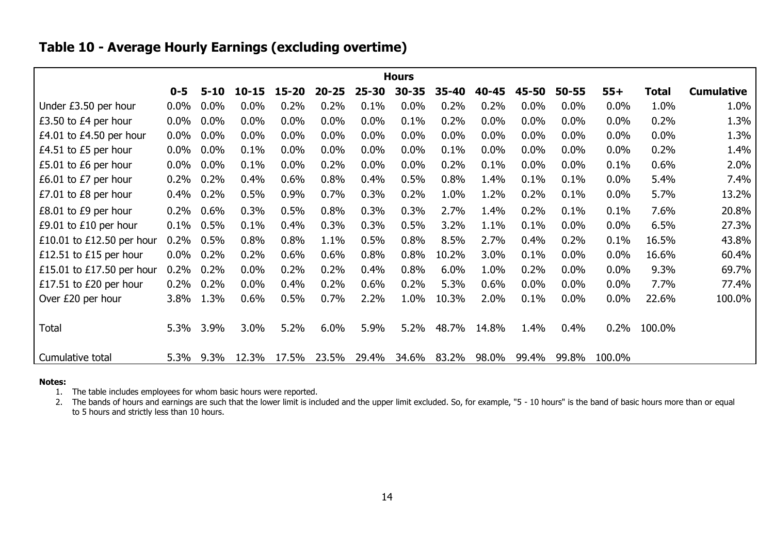### **Table 10 - Average Hourly Earnings (excluding overtime)**

|                           |         |          |           |           |           |           | <b>Hours</b> |       |       |       |           |         |              |                   |
|---------------------------|---------|----------|-----------|-----------|-----------|-----------|--------------|-------|-------|-------|-----------|---------|--------------|-------------------|
|                           | $0 - 5$ | $5 - 10$ | $10 - 15$ | $15 - 20$ | $20 - 25$ | $25 - 30$ | $30 - 35$    | 35-40 | 40-45 | 45-50 | $50 - 55$ | $55+$   | <b>Total</b> | <b>Cumulative</b> |
| Under £3.50 per hour      | 0.0%    | 0.0%     | 0.0%      | 0.2%      | 0.2%      | 0.1%      | 0.0%         | 0.2%  | 0.2%  | 0.0%  | $0.0\%$   | 0.0%    | 1.0%         | 1.0%              |
| £3.50 to £4 per hour      | $0.0\%$ | $0.0\%$  | 0.0%      | 0.0%      | 0.0%      | 0.0%      | 0.1%         | 0.2%  | 0.0%  | 0.0%  | $0.0\%$   | 0.0%    | 0.2%         | 1.3%              |
| £4.01 to £4.50 per hour   | $0.0\%$ | $0.0\%$  | 0.0%      | 0.0%      | $0.0\%$   | $0.0\%$   | 0.0%         | 0.0%  | 0.0%  | 0.0%  | $0.0\%$   | $0.0\%$ | 0.0%         | 1.3%              |
| £4.51 to £5 per hour      | $0.0\%$ | 0.0%     | 0.1%      | $0.0\%$   | $0.0\%$   | $0.0\%$   | 0.0%         | 0.1%  | 0.0%  | 0.0%  | $0.0\%$   | $0.0\%$ | 0.2%         | 1.4%              |
| £5.01 to £6 per hour      | $0.0\%$ | $0.0\%$  | 0.1%      | $0.0\%$   | 0.2%      | $0.0\%$   | 0.0%         | 0.2%  | 0.1%  | 0.0%  | $0.0\%$   | 0.1%    | 0.6%         | 2.0%              |
| £6.01 to £7 per hour      | 0.2%    | 0.2%     | 0.4%      | 0.6%      | 0.8%      | 0.4%      | 0.5%         | 0.8%  | 1.4%  | 0.1%  | 0.1%      | $0.0\%$ | 5.4%         | 7.4%              |
| £7.01 to £8 per hour      | 0.4%    | 0.2%     | 0.5%      | 0.9%      | 0.7%      | 0.3%      | 0.2%         | 1.0%  | 1.2%  | 0.2%  | 0.1%      | $0.0\%$ | 5.7%         | 13.2%             |
| £8.01 to £9 per hour      | 0.2%    | 0.6%     | 0.3%      | 0.5%      | 0.8%      | 0.3%      | 0.3%         | 2.7%  | 1.4%  | 0.2%  | 0.1%      | 0.1%    | 7.6%         | 20.8%             |
| £9.01 to $£10$ per hour   | 0.1%    | 0.5%     | 0.1%      | 0.4%      | 0.3%      | 0.3%      | 0.5%         | 3.2%  | 1.1%  | 0.1%  | $0.0\%$   | 0.0%    | 6.5%         | 27.3%             |
| £10.01 to £12.50 per hour | 0.2%    | 0.5%     | 0.8%      | 0.8%      | 1.1%      | 0.5%      | 0.8%         | 8.5%  | 2.7%  | 0.4%  | 0.2%      | 0.1%    | 16.5%        | 43.8%             |
| £12.51 to £15 per hour    | $0.0\%$ | 0.2%     | 0.2%      | 0.6%      | 0.6%      | 0.8%      | 0.8%         | 10.2% | 3.0%  | 0.1%  | $0.0\%$   | 0.0%    | 16.6%        | 60.4%             |
| £15.01 to £17.50 per hour | 0.2%    | 0.2%     | 0.0%      | 0.2%      | 0.2%      | 0.4%      | 0.8%         | 6.0%  | 1.0%  | 0.2%  | $0.0\%$   | 0.0%    | 9.3%         | 69.7%             |
| £17.51 to £20 per hour    | 0.2%    | 0.2%     | 0.0%      | 0.4%      | 0.2%      | 0.6%      | 0.2%         | 5.3%  | 0.6%  | 0.0%  | $0.0\%$   | 0.0%    | 7.7%         | 77.4%             |
| Over £20 per hour         | 3.8%    | 1.3%     | 0.6%      | 0.5%      | 0.7%      | 2.2%      | 1.0%         | 10.3% | 2.0%  | 0.1%  | $0.0\%$   | 0.0%    | 22.6%        | 100.0%            |
|                           |         |          |           |           |           |           |              |       |       |       |           |         |              |                   |
| Total                     | 5.3%    | 3.9%     | 3.0%      | 5.2%      | 6.0%      | 5.9%      | 5.2%         | 48.7% | 14.8% | 1.4%  | 0.4%      | 0.2%    | 100.0%       |                   |
|                           |         |          |           |           |           |           |              |       |       |       |           |         |              |                   |
| Cumulative total          | 5.3%    | 9.3%     | 12.3%     | 17.5%     | 23.5%     | 29.4%     | 34.6%        | 83.2% | 98.0% | 99.4% | 99.8%     | 100.0%  |              |                   |

#### <span id="page-14-0"></span>**Notes:**

1. The table includes employees for whom basic hours were reported.

2. The bands of hours and earnings are such that the lower limit is included and the upper limit excluded. So, for example, "5 - 10 hours" is the band of basic hours more than or equal to 5 hours and strictly less than 10 hours.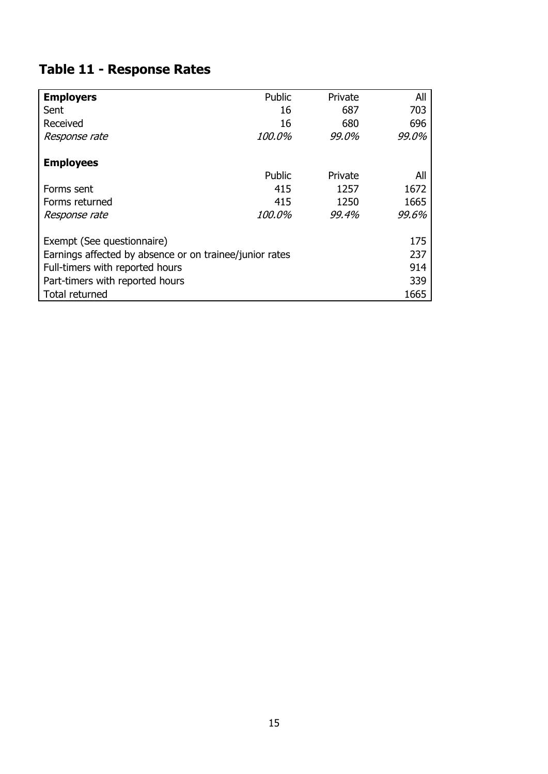# <span id="page-15-0"></span>**Table 11 - Response Rates**

| <b>Employers</b>                                        | Public        | Private | All   |
|---------------------------------------------------------|---------------|---------|-------|
| Sent                                                    | 16            | 687     | 703   |
| Received                                                | 16            | 680     | 696   |
| Response rate                                           | <i>100.0%</i> | 99.0%   | 99.0% |
| <b>Employees</b>                                        |               |         |       |
|                                                         | Public        | Private | All   |
| Forms sent                                              | 415           | 1257    | 1672  |
| Forms returned                                          | 415           | 1250    | 1665  |
| Response rate                                           | 100.0%        | 99.4%   | 99.6% |
| Exempt (See questionnaire)                              |               |         | 175   |
| Earnings affected by absence or on trainee/junior rates |               |         | 237   |
| Full-timers with reported hours                         |               |         | 914   |
| Part-timers with reported hours                         |               |         | 339   |
| Total returned                                          |               |         | 1665  |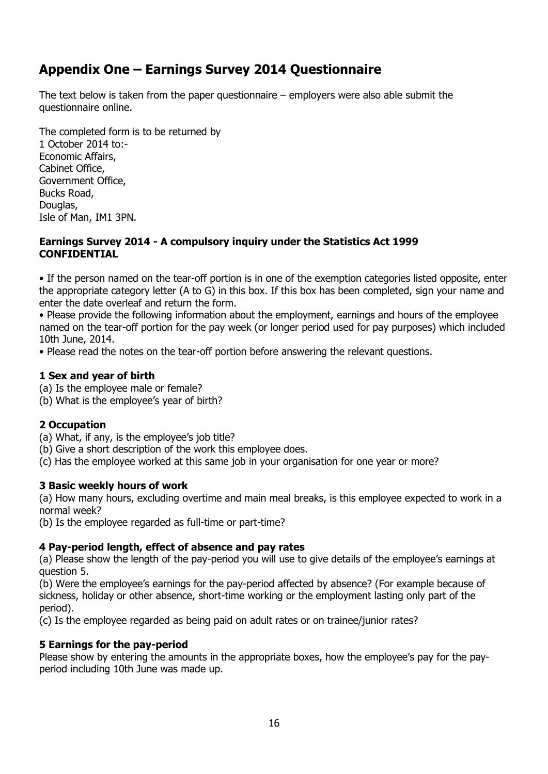### <span id="page-16-0"></span>**Appendix One – Earnings Survey 2014 Questionnaire**

The text below is taken from the paper questionnaire – employers were also able submit the questionnaire online.

The completed form is to be returned by 1 October 2014 to:- Economic Affairs, Cabinet Office, Government Office, Bucks Road, Douglas, Isle of Man, IM1 3PN.

#### **Earnings Survey 2014 - A compulsory inquiry under the Statistics Act 1999 CONFIDENTIAL**

• If the person named on the tear-off portion is in one of the exemption categories listed opposite, enter the appropriate category letter (A to G) in this box. If this box has been completed, sign your name and enter the date overleaf and return the form.

• Please provide the following information about the employment, earnings and hours of the employee named on the tear-off portion for the pay week (or longer period used for pay purposes) which included 10th June, 2014.

• Please read the notes on the tear-off portion before answering the relevant questions.

### **1 Sex and year of birth**

- (a) Is the employee male or female?
- (b) What is the employee's year of birth?

### **2 Occupation**

- (a) What, if any, is the employee's job title?
- (b) Give a short description of the work this employee does.
- (c) Has the employee worked at this same job in your organisation for one year or more?

### **3 Basic weekly hours of work**

(a) How many hours, excluding overtime and main meal breaks, is this employee expected to work in a normal week?

(b) Is the employee regarded as full-time or part-time?

### **4 Pay-period length, effect of absence and pay rates**

(a) Please show the length of the pay-period you will use to give details of the employee's earnings at question 5.

(b) Were the employee's earnings for the pay-period affected by absence? (For example because of sickness, holiday or other absence, short-time working or the employment lasting only part of the period).

(c) Is the employee regarded as being paid on adult rates or on trainee/junior rates?

### **5 Earnings for the pay-period**

Please show by entering the amounts in the appropriate boxes, how the employee's pay for the payperiod including 10th June was made up.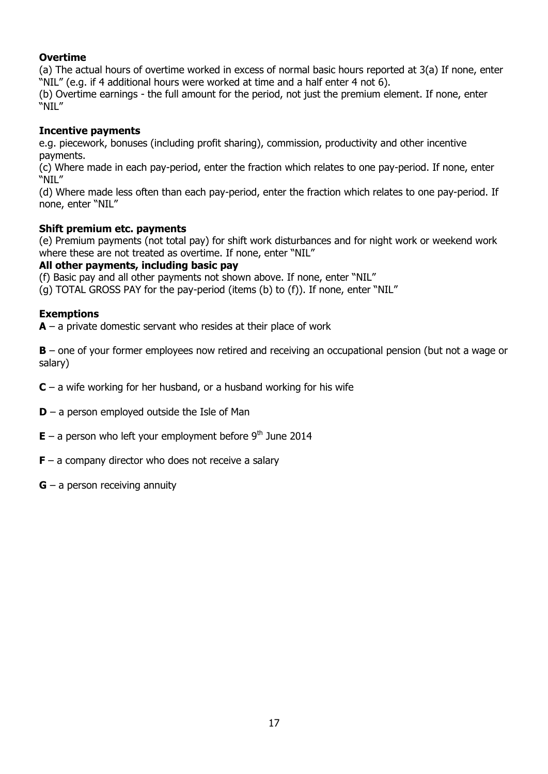### **Overtime**

(a) The actual hours of overtime worked in excess of normal basic hours reported at 3(a) If none, enter "NIL" (e.g. if 4 additional hours were worked at time and a half enter 4 not 6).

(b) Overtime earnings - the full amount for the period, not just the premium element. If none, enter "NIL"

#### **Incentive payments**

e.g. piecework, bonuses (including profit sharing), commission, productivity and other incentive payments.

(c) Where made in each pay-period, enter the fraction which relates to one pay-period. If none, enter "NIL"

(d) Where made less often than each pay-period, enter the fraction which relates to one pay-period. If none, enter "NIL"

#### **Shift premium etc. payments**

(e) Premium payments (not total pay) for shift work disturbances and for night work or weekend work where these are not treated as overtime. If none, enter "NIL"

#### **All other payments, including basic pay**

(f) Basic pay and all other payments not shown above. If none, enter "NIL"

(g) TOTAL GROSS PAY for the pay-period (items (b) to (f)). If none, enter "NIL"

#### **Exemptions**

**A** – a private domestic servant who resides at their place of work

**B** – one of your former employees now retired and receiving an occupational pension (but not a wage or salary)

**C** – a wife working for her husband, or a husband working for his wife

**D** – a person employed outside the Isle of Man

 $E - a$  person who left your employment before 9<sup>th</sup> June 2014

**F** – a company director who does not receive a salary

**G** – a person receiving annuity